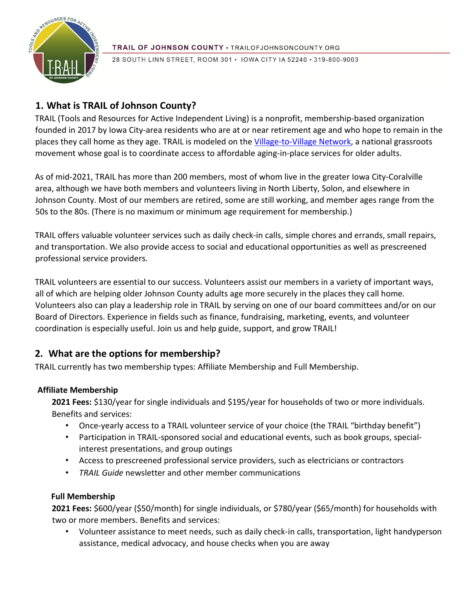

28 SOUTH LINN STREET, ROOM 301 · IOWA CITY IA 52240 · 319-800-9003

# **1. What is TRAIL of Johnson County?**

TRAIL (Tools and Resources for Active Independent Living) is a nonprofit, membership-based organization founded in 2017 by Iowa City-area residents who are at or near retirement age and who hope to remain in the places they call home as they age. TRAIL is modeled on the [Village-to-Village Network,](http://www.vtvnetwork.org/content.aspx?page_id=0&club_id=691012) a national grassroots movement whose goal is to coordinate access to affordable aging-in-place services for older adults.

As of mid-2021, TRAIL has more than 200 members, most of whom live in the greater Iowa City-Coralville area, although we have both members and volunteers living in North Liberty, Solon, and elsewhere in Johnson County. Most of our members are retired, some are still working, and member ages range from the 50s to the 80s. (There is no maximum or minimum age requirement for membership.)

TRAIL offers valuable volunteer services such as daily check-in calls, simple chores and errands, small repairs, and transportation. We also provide access to social and educational opportunities as well as prescreened professional service providers.

TRAIL volunteers are essential to our success. Volunteers assist our members in a variety of important ways, all of which are helping older Johnson County adults age more securely in the places they call home. Volunteers also can play a leadership role in TRAIL by serving on one of our board committees and/or on our Board of Directors. Experience in fields such as finance, fundraising, marketing, events, and volunteer coordination is especially useful. Join us and help guide, support, and grow TRAIL!

# **2. What are the options for membership?**

TRAIL currently has two membership types: Affiliate Membership and Full Membership.

## **Affiliate Membership**

**2021 Fees:** \$130/year for single individuals and \$195/year for households of two or more individuals. Benefits and services:

- Once-yearly access to a TRAIL volunteer service of your choice (the TRAIL "birthday benefit")
- Participation in TRAIL-sponsored social and educational events, such as book groups, specialinterest presentations, and group outings
- Access to prescreened professional service providers, such as electricians or contractors
- *TRAIL Guide* newsletter and other member communications

## **Full Membership**

**2021 Fees:** \$600/year (\$50/month) for single individuals, or \$780/year (\$65/month) for households with two or more members. Benefits and services:

• Volunteer assistance to meet needs, such as daily check-in calls, transportation, light handyperson assistance, medical advocacy, and house checks when you are away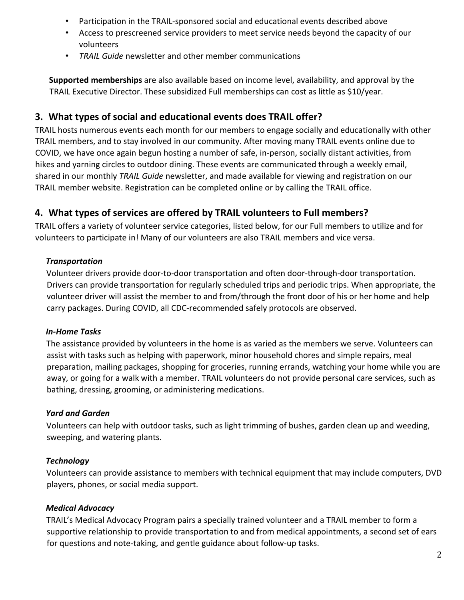- Participation in the TRAIL-sponsored social and educational events described above
- Access to prescreened service providers to meet service needs beyond the capacity of our volunteers
- *TRAIL Guide* newsletter and other member communications

**Supported memberships** are also available based on income level, availability, and approval by the TRAIL Executive Director. These subsidized Full memberships can cost as little as \$10/year.

## **3. What types of social and educational events does TRAIL offer?**

TRAIL hosts numerous events each month for our members to engage socially and educationally with other TRAIL members, and to stay involved in our community. After moving many TRAIL events online due to COVID, we have once again begun hosting a number of safe, in-person, socially distant activities, from hikes and yarning circles to outdoor dining. These events are communicated through a weekly email, shared in our monthly *TRAIL Guide* newsletter, and made available for viewing and registration on our TRAIL member website. Registration can be completed online or by calling the TRAIL office.

# **4. What types of services are offered by TRAIL volunteers to Full members?**

TRAIL offers a variety of volunteer service categories, listed below, for our Full members to utilize and for volunteers to participate in! Many of our volunteers are also TRAIL members and vice versa.

#### *Transportation*

Volunteer drivers provide door-to-door transportation and often door-through-door transportation. Drivers can provide transportation for regularly scheduled trips and periodic trips. When appropriate, the volunteer driver will assist the member to and from/through the front door of his or her home and help carry packages. During COVID, all CDC-recommended safely protocols are observed.

## *In-Home Tasks*

The assistance provided by volunteers in the home is as varied as the members we serve. Volunteers can assist with tasks such as helping with paperwork, minor household chores and simple repairs, meal preparation, mailing packages, shopping for groceries, running errands, watching your home while you are away, or going for a walk with a member. TRAIL volunteers do not provide personal care services, such as bathing, dressing, grooming, or administering medications.

#### *Yard and Garden*

Volunteers can help with outdoor tasks, such as light trimming of bushes, garden clean up and weeding, sweeping, and watering plants.

## *Technology*

Volunteers can provide assistance to members with technical equipment that may include computers, DVD players, phones, or social media support.

## *Medical Advocacy*

TRAIL's Medical Advocacy Program pairs a specially trained volunteer and a TRAIL member to form a supportive relationship to provide transportation to and from medical appointments, a second set of ears for questions and note-taking, and gentle guidance about follow-up tasks.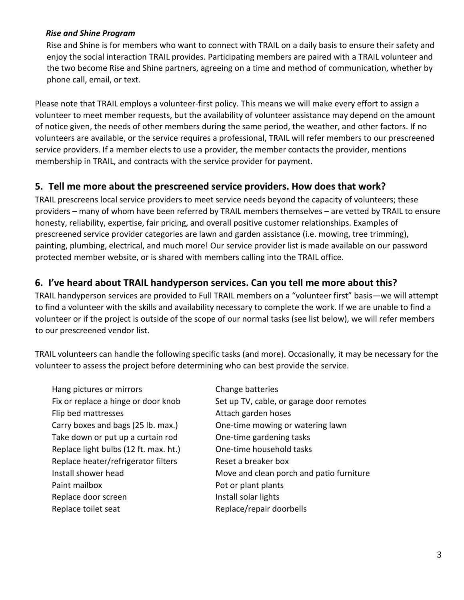#### *Rise and Shine Program*

Rise and Shine is for members who want to connect with TRAIL on a daily basis to ensure their safety and enjoy the social interaction TRAIL provides. Participating members are paired with a TRAIL volunteer and the two become Rise and Shine partners, agreeing on a time and method of communication, whether by phone call, email, or text.

Please note that TRAIL employs a volunteer-first policy. This means we will make every effort to assign a volunteer to meet member requests, but the availability of volunteer assistance may depend on the amount of notice given, the needs of other members during the same period, the weather, and other factors. If no volunteers are available, or the service requires a professional, TRAIL will refer members to our prescreened service providers. If a member elects to use a provider, the member contacts the provider, mentions membership in TRAIL, and contracts with the service provider for payment.

## **5. Tell me more about the prescreened service providers. How does that work?**

TRAIL prescreens local service providers to meet service needs beyond the capacity of volunteers; these providers – many of whom have been referred by TRAIL members themselves – are vetted by TRAIL to ensure honesty, reliability, expertise, fair pricing, and overall positive customer relationships. Examples of prescreened service provider categories are lawn and garden assistance (i.e. mowing, tree trimming), painting, plumbing, electrical, and much more! Our service provider list is made available on our password protected member website, or is shared with members calling into the TRAIL office.

## **6. I've heard about TRAIL handyperson services. Can you tell me more about this?**

TRAIL handyperson services are provided to Full TRAIL members on a "volunteer first" basis—we will attempt to find a volunteer with the skills and availability necessary to complete the work. If we are unable to find a volunteer or if the project is outside of the scope of our normal tasks (see list below), we will refer members to our prescreened vendor list.

TRAIL volunteers can handle the following specific tasks (and more). Occasionally, it may be necessary for the volunteer to assess the project before determining who can best provide the service.

Hang pictures or mirrors Change batteries Fix or replace a hinge or door knob Set up TV, cable, or garage door remotes Flip bed mattresses The Communist Communist Attach garden hoses Carry boxes and bags (25 lb. max.) One-time mowing or watering lawn Take down or put up a curtain rod One-time gardening tasks Replace light bulbs (12 ft. max. ht.) One-time household tasks Replace heater/refrigerator filters Reset a breaker box Install shower head Move and clean porch and patio furniture Paint mailbox Pot or plant plants Replace door screen Install solar lights Replace toilet seat **Replace/repair doorbells**